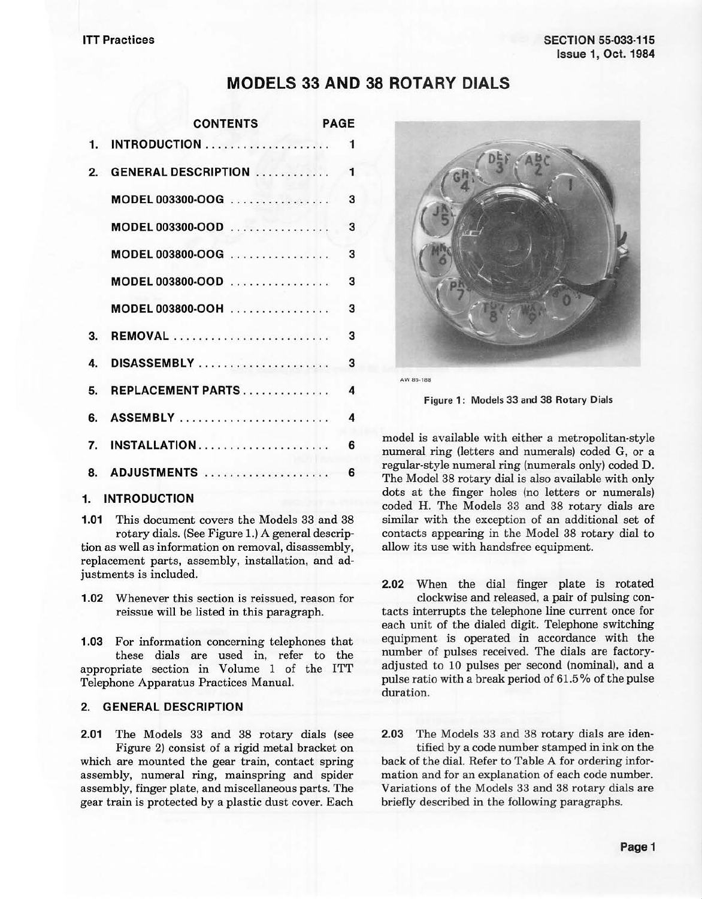## **MODELS 33 AND 38 ROTARY DIALS**

|    | <b>CONTENTS</b>             | <b>PAGE</b>  |
|----|-----------------------------|--------------|
| 1. |                             | 1            |
| 2. | <b>GENERAL DESCRIPTION </b> | $\mathbf{1}$ |
|    | MODEL 003300-OOG            | 3            |
|    | MODEL 003300-OOD            | 3            |
|    | MODEL 003800-OOG            | 3            |
|    | $MODEL 003800-OOD$          | 3            |
|    | MODEL 003800-OOH            | 3            |
| З. | <b>REMOVAL</b>              | 3            |
| 4. |                             | 3            |
| 5. | REPLACEMENT PARTS           | 4            |
| 6. | <b>ASSEMBLY</b>             | 4            |
| 7. | INSTALLATION                | 6            |
| 8. | ADJUSTMENTS                 | 6            |

## **1. INTRODUCTION**

**1.01** This document covers the Models 33 and 38 rotary dials. (See Figure 1.) A general descrip· tion as well as information on removal, disassembly, replacement parts, assembly, installation, and adjustments is included.

**1.02** Whenever this section is reissued, reason for reissue will be listed in this paragraph.

**1.03** For information concerning telephones that these dials are used in, refer to the appropriate section in Volume 1 of the ITT Telephone Apparatus Practices Manual.

## **2. GENERAL DESCRIPTION**

**2.01** The Models 33 and 38 rotary dials (see Figure 2) consist of a rigid metal bracket on which are mounted the gear train, contact spring assembly, numeral ring, mainspring and spider assembly, finger plate, and miscellaneous parts. The gear train is protected by a plastic dust cover. Each



**AW 85-188** 

Figure **1:** Models 33 and 38 Rotary Dials

model is available with either a metropolitan-style numeral ring (letters and numerals) coded G, or a regular-style numeral ring (numerals only) coded D. The Model 38 rotary dial is also available with only dots at the finger holes (no letters or numerals) coded H. The Models 33 and 38 rotary dials are similar with the exception of an additional set of contacts appearing in the Model 38 rotary dial to allow its use with handsfree equipment.

**2.02** When the dial finger plate is rotated clockwise and released, a pair of pulsing contacts interrupts the telephone line current once for each unit of the dialed digit. Telephone switching equipment is operated in accordance with the number of pulses received. The dials are factoryadjusted to 10 pulses per second (nominal), and a pulse ratio with a break period of 61.5 % of the pulse duration.

**2.03** The Models 33 and 38 rotary dials are identified by a code number stamped in ink on the back of the dial. Refer to Table A for ordering information and for an explanation of each code number. Variations of the Models 33 and 38 rotary dials are briefly described in the following paragraphs.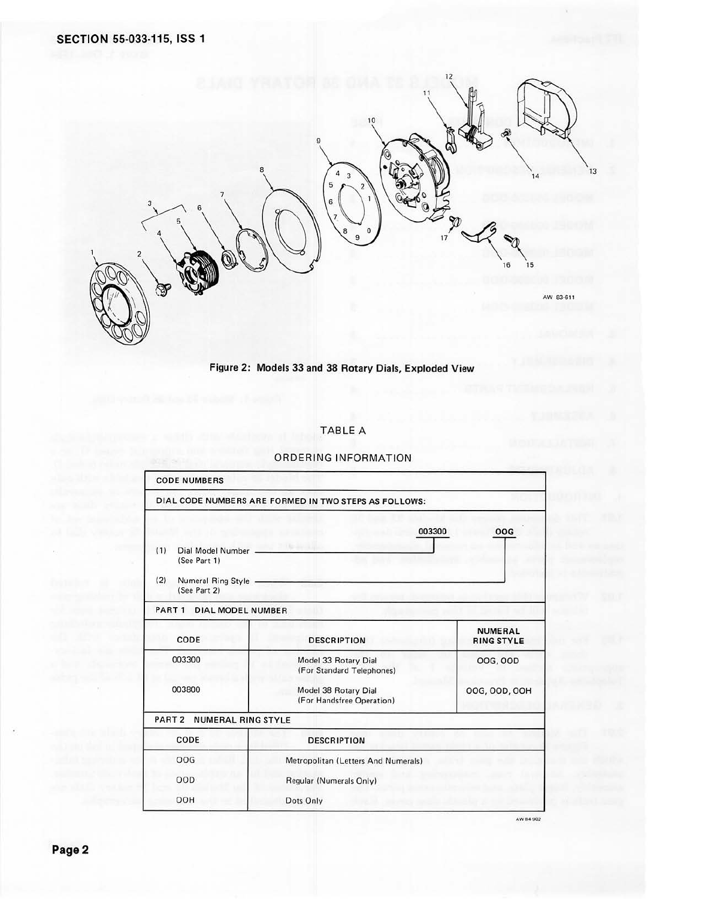

Figure 2: Models 33 and 38 Rotary Dials, Exploded View

#### TABLE A

# CODE NUMBERS DIAL CODE NUMBERS ARE FORMED IN TWO STEPS AS FOLLOWS: 003300 OOG ( 1) Dial Model Number I T ISee Part 1) (2) Numeral Ring Style (See Part 2) PART 1 DIAL MODEL NUMBER **NUMERAL**  CODE DESCRIPTION **RING** STYLE 003300 Model 33 Rotary Dial 00G, 00D (For Standard Telephones) 003800 Model 38 Rotary Dial DOG, DOD, OOH (For Handsfree Operation) PART 2 NUMERAL RING STYLE CODE DESCRIPTION OOG Metropolitan (Letters And Numerals) OOD Regular (Numerals Only) OOH Dots Only

#### ORDERING INFORMATION

AW 84 902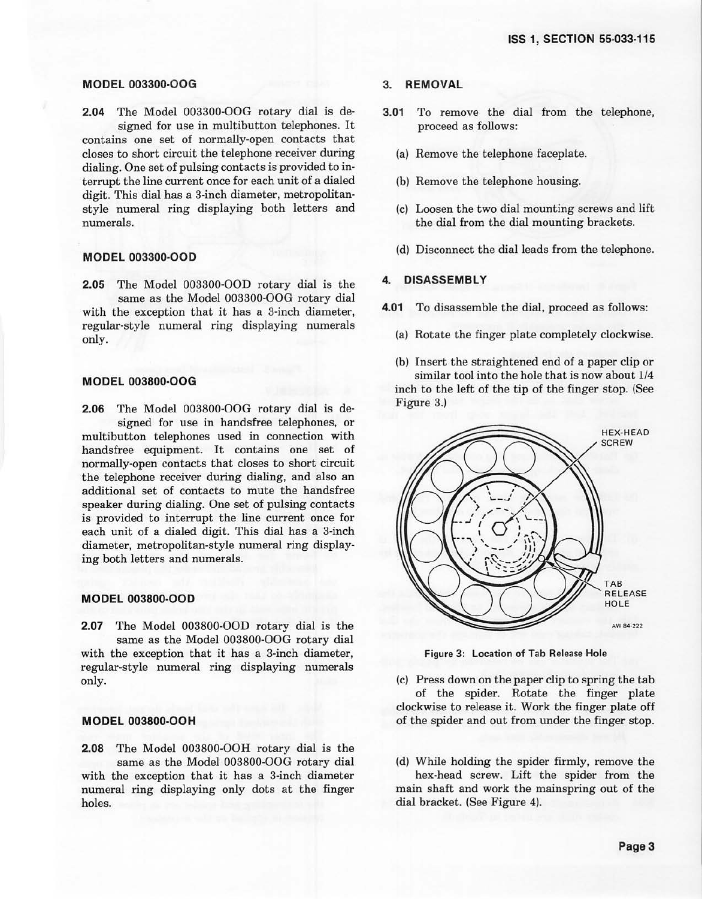### **MODEL 003300-OOG**

**2.04** The Model 003300-OOG rotary dial is de· signed for use in multibutton telephones. It contains one set of normally-open contacts that closes to short circuit the telephone receiver during dialing. One set of pulsing contacts is provided to interrupt the line current once for each unit of a dialed digit. This dial has a 3-inch diameter, metropolitanstyle numeral ring displaying both letters and numerals.

#### **MODEL 003300-OOD**

**2.05** The Model 003300-OOD rotary dial is the same as the Model 003300-OOG rotary dial with the exception that it has a 3-inch diameter, regular-style numeral ring displaying numerals only.

#### **MODEL 003800-OOG**

**2.06** The Model 003800-OOG rotary dial is designed for use in handsfree telephones, or multibutton telephones used in connection with handsfree equipment. It contains one set of normally-open contacts that closes to short circuit the telephone receiver during dialing, and also an additional set of contacts to mute the handsfree speaker during dialing. One set of pulsing contacts is provided to interrupt the line current once for each unit of a dialed digit. This dial has a 3-inch diameter, metropolitan-style numeral ring displaying both letters and numerals.

#### **MODEL 003800-OOD**

**2.07** The Model 003800-OOD rotary dial is the same as the Model 003800-OOG rotary dial with the exception that it has a 3-inch diameter, regular-style numeral ring displaying numerals only.

## **MODEL 003800-OOH**

**2.08** The Model 003800-OOH rotary dial is the same as the Model 003800-OOG rotary dial with the exception that it has a 3-inch diameter numeral ring displaying only dots at the finger holes.

#### **3. REMOVAL**

- **3.01** To remove the dial from the telephone, proceed as follows:
	- (a) Remove the telephone faceplate.
	- (b) Remove the telephone housing.
	- (c) Loosen the two dial mounting screws and lift the dial from the dial mounting brackets.
	- (d) Disconnect the dial leads from the telephone.

#### **4. DISASSEMBLY**

- **4.01** To disassemble the dial, proceed as follows:
	- (a) Rotate the finger plate completely clockwise.

(b) Insert the straightened end of a paper clip or similar tool into the hole that is now about 1/4 inch to the left of the tip of the finger stop. (See Figure 3.)



Figure 3: Location of Tab Release Hole

(c) Press down on the paper clip to spring the tab of the spider. Rotate the finger plate clockwise to release it. Work the finger plate off of the spider and out from under the finger stop.

(d) While holding the spider firmly, remove the

hex-head screw. Lift the spider from the main shaft and work the mainspring out of the dial bracket. (See Figure 4).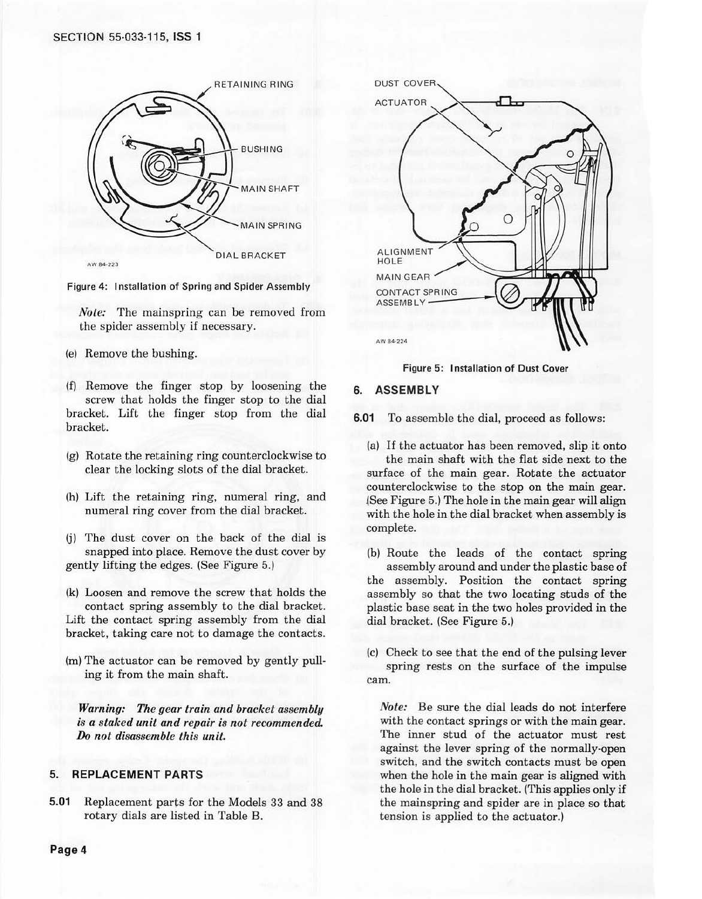#### SECTION 55-033-115, **ISS 1**



Figure 4: Installation of Spring and Spider Assembly

*Nole:* The mainspring can be removed from the spider assembly if necessary.

- (e) Remove the bushing.
- (f) Remove the finger stop by loosening the screw that holds the finger stop to the dial bracket. Lift the finger stop from the dial bracket.
- (g) Rotate the retaining ring counterclockwise to clear the locking slots of the dial bracket.
- (h) Lift the retaining ring, numeral ring, and numeral ring cover from the dial bracket.
- (j) The dust cover on the back of the dial is snapped into place. Remove the dust cover by gently lifting the edges. (See Figure 5.)
- (k) Loosen and remove the screw that holds the contact spring assembly *to* the dial bracket. Lift the contact spring assembly from the dial bracket, taking care not *to* damage the contacts.
- (m) The actuator can be removed by gently pulling it from the main shaft.

*Warning: The gear train and bracket assembly is a staked unil and repair is not recommended. Do not disassemble this unit.* 

#### **5. REPLACEMENT PARTS**

**5.01** Replacement parts for the Models 33 and 38 rotary dials are listed in Table B.



**Figure 5: Installation of Dust Cover** 

#### **6. ASSEMBLY**

**6.01** To assemble the dial, proceed as follows:

(a) If the actuator has been removed, slip it onto the main shaft with the flat side next to the surface of the main gear. Rotate the actuator counterclockwise to the stop on the main gear. (See Figure 5.) The hole in the main gear will align with the hole in the dial bracket when assembly is complete.

(b) Route the leads of the contact spring assembly around and under the plastic base of the assembly. Position the contact spring assembly so that the two locating studs of the plastic base seat in the two holes provided in the dial bracket. (See Figure 5.)

(c) Check to see that the end of the pulsing lever spring rests on the surface of the impulse cam.

*Note:* Be sure the dial leads do not interfere with the contact springs or with the main gear. The inner stud of the actuator must rest against the lever spring of the normally-open switch, and the switch contacts must be open when the hole in the main gear is aligned with the hole in the dial bracket. (This applies only if the mainspring and spider are in place so that tension is applied to the actuator.)